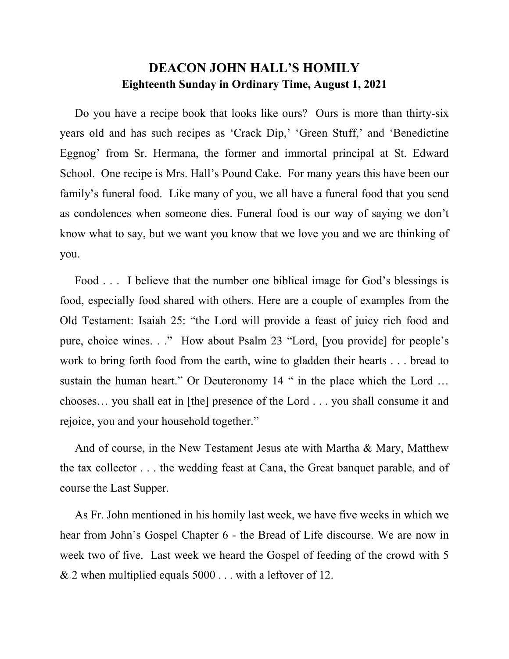## **DEACON JOHN HALL'S HOMILY Eighteenth Sunday in Ordinary Time, August 1, 2021**

 Do you have a recipe book that looks like ours? Ours is more than thirty-six years old and has such recipes as 'Crack Dip,' 'Green Stuff,' and 'Benedictine Eggnog' from Sr. Hermana, the former and immortal principal at St. Edward School. One recipe is Mrs. Hall's Pound Cake. For many years this have been our family's funeral food. Like many of you, we all have a funeral food that you send as condolences when someone dies. Funeral food is our way of saying we don't know what to say, but we want you know that we love you and we are thinking of you.

Food . . . I believe that the number one biblical image for God's blessings is food, especially food shared with others. Here are a couple of examples from the Old Testament: Isaiah 25: "the Lord will provide a feast of juicy rich food and pure, choice wines. . ." How about Psalm 23 "Lord, [you provide] for people's work to bring forth food from the earth, wine to gladden their hearts . . . bread to sustain the human heart." Or Deuteronomy 14 " in the place which the Lord ... chooses… you shall eat in [the] presence of the Lord . . . you shall consume it and rejoice, you and your household together."

And of course, in the New Testament Jesus ate with Martha & Mary, Matthew the tax collector . . . the wedding feast at Cana, the Great banquet parable, and of course the Last Supper.

 As Fr. John mentioned in his homily last week, we have five weeks in which we hear from John's Gospel Chapter 6 - the Bread of Life discourse. We are now in week two of five. Last week we heard the Gospel of feeding of the crowd with 5 & 2 when multiplied equals 5000 . . . with a leftover of 12.